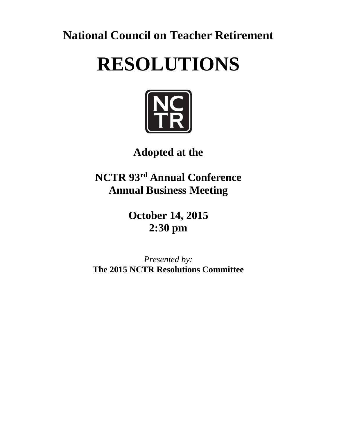**National Council on Teacher Retirement**

# **RESOLUTIONS**



# **Adopted at the**

**NCTR 93 rd Annual Conference Annual Business Meeting**

> **October 14, 2015 2:30 pm**

*Presented by:* **The 2015 NCTR Resolutions Committee**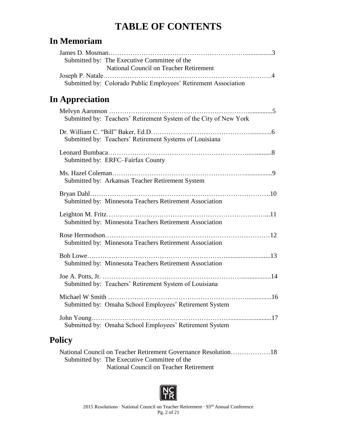# **TABLE OF CONTENTS**

#### **In Memoriam**

| Submitted by: The Executive Committee of the<br>National Council on Teacher Retirement |  |
|----------------------------------------------------------------------------------------|--|
| Submitted by: Colorado Public Employees' Retirement Association                        |  |
| <b>In Appreciation</b>                                                                 |  |
| Submitted by: Teachers' Retirement System of the City of New York                      |  |
| Submitted by: Teachers' Retirement Systems of Louisiana                                |  |
| Submitted by: ERFC-Fairfax County                                                      |  |
| Submitted by: Arkansas Teacher Retirement System                                       |  |
| Submitted by: Minnesota Teachers Retirement Association                                |  |
| Submitted by: Minnesota Teachers Retirement Association                                |  |
| Submitted by: Minnesota Teachers Retirement Association                                |  |
| Submitted by: Minnesota Teachers Retirement Association                                |  |
| Submitted by: Teachers' Retirement System of Louisiana                                 |  |
| Submitted by: Omaha School Employees' Retirement System                                |  |
| Submitted by: Omaha School Employees' Retirement System                                |  |

#### **Policy**

| National Council on Teacher Retirement Governance Resolution18 |  |
|----------------------------------------------------------------|--|
| Submitted by: The Executive Committee of the                   |  |
| National Council on Teacher Retirement                         |  |

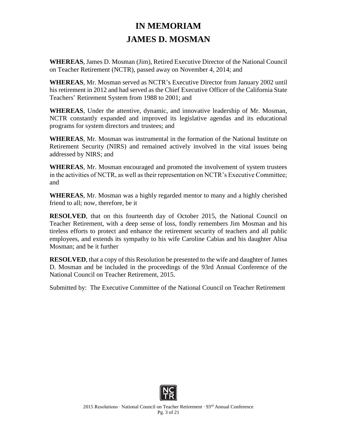## **IN MEMORIAM JAMES D. MOSMAN**

**WHEREAS**, James D. Mosman (Jim), Retired Executive Director of the National Council on Teacher Retirement (NCTR), passed away on November 4, 2014; and

**WHEREAS**, Mr. Mosman served as NCTR's Executive Director from January 2002 until his retirement in 2012 and had served as the Chief Executive Officer of the California State Teachers' Retirement System from 1988 to 2001; and

**WHEREAS**, Under the attentive, dynamic, and innovative leadership of Mr. Mosman, NCTR constantly expanded and improved its legislative agendas and its educational programs for system directors and trustees; and

**WHEREAS**, Mr. Mosman was instrumental in the formation of the National Institute on Retirement Security (NIRS) and remained actively involved in the vital issues being addressed by NIRS; and

**WHEREAS**, Mr. Mosman encouraged and promoted the involvement of system trustees in the activities of NCTR, as well as their representation on NCTR's Executive Committee; and

**WHEREAS**, Mr. Mosman was a highly regarded mentor to many and a highly cherished friend to all; now, therefore, be it

**RESOLVED**, that on this fourteenth day of October 2015, the National Council on Teacher Retirement, with a deep sense of loss, fondly remembers Jim Mosman and his tireless efforts to protect and enhance the retirement security of teachers and all public employees, and extends its sympathy to his wife Caroline Cabias and his daughter Alisa Mosman; and be it further

**RESOLVED**, that a copy of this Resolution be presented to the wife and daughter of James D. Mosman and be included in the proceedings of the 93rd Annual Conference of the National Council on Teacher Retirement, 2015.

Submitted by: The Executive Committee of the National Council on Teacher Retirement

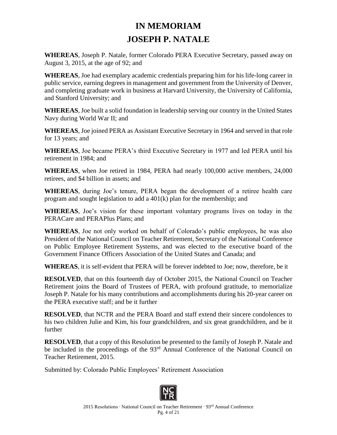# **IN MEMORIAM JOSEPH P. NATALE**

**WHEREAS**, Joseph P. Natale, former Colorado PERA Executive Secretary, passed away on August 3, 2015, at the age of 92; and

**WHEREAS**, Joe had exemplary academic credentials preparing him for his life-long career in public service, earning degrees in management and government from the University of Denver, and completing graduate work in business at Harvard University, the University of California, and Stanford University; and

**WHEREAS**, Joe built a solid foundation in leadership serving our country in the United States Navy during World War II; and

**WHEREAS**, Joe joined PERA as Assistant Executive Secretary in 1964 and served in that role for 13 years; and

**WHEREAS**, Joe became PERA's third Executive Secretary in 1977 and led PERA until his retirement in 1984; and

**WHEREAS**, when Joe retired in 1984, PERA had nearly 100,000 active members, 24,000 retirees, and \$4 billion in assets; and

**WHEREAS**, during Joe's tenure, PERA began the development of a retiree health care program and sought legislation to add a 401(k) plan for the membership; and

**WHEREAS**, Joe's vision for these important voluntary programs lives on today in the PERACare and PERAPlus Plans; and

**WHEREAS**, Joe not only worked on behalf of Colorado's public employees, he was also President of the National Council on Teacher Retirement, Secretary of the National Conference on Public Employee Retirement Systems, and was elected to the executive board of the Government Finance Officers Association of the United States and Canada; and

**WHEREAS**, it is self-evident that PERA will be forever indebted to Joe; now, therefore, be it

**RESOLVED**, that on this fourteenth day of October 2015, the National Council on Teacher Retirement joins the Board of Trustees of PERA, with profound gratitude, to memorialize Joseph P. Natale for his many contributions and accomplishments during his 20-year career on the PERA executive staff; and be it further

**RESOLVED**, that NCTR and the PERA Board and staff extend their sincere condolences to his two children Julie and Kim, his four grandchildren, and six great grandchildren, and be it further

**RESOLVED**, that a copy of this Resolution be presented to the family of Joseph P. Natale and be included in the proceedings of the 93<sup>rd</sup> Annual Conference of the National Council on Teacher Retirement, 2015.

Submitted by: Colorado Public Employees' Retirement Association

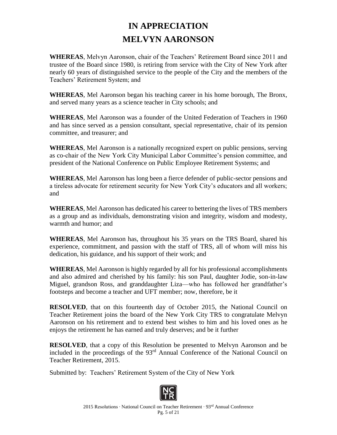## **IN APPRECIATION MELVYN AARONSON**

**WHEREAS**, Melvyn Aaronson, chair of the Teachers' Retirement Board since 2011 and trustee of the Board since 1980, is retiring from service with the City of New York after nearly 60 years of distinguished service to the people of the City and the members of the Teachers' Retirement System; and

**WHEREAS**, Mel Aaronson began his teaching career in his home borough, The Bronx, and served many years as a science teacher in City schools; and

**WHEREAS**, Mel Aaronson was a founder of the United Federation of Teachers in 1960 and has since served as a pension consultant, special representative, chair of its pension committee, and treasurer; and

**WHEREAS**, Mel Aaronson is a nationally recognized expert on public pensions, serving as co-chair of the New York City Municipal Labor Committee's pension committee, and president of the National Conference on Public Employee Retirement Systems; and

**WHEREAS**, Mel Aaronson has long been a fierce defender of public-sector pensions and a tireless advocate for retirement security for New York City's educators and all workers; and

**WHEREAS**, Mel Aaronson has dedicated his career to bettering the lives of TRS members as a group and as individuals, demonstrating vision and integrity, wisdom and modesty, warmth and humor; and

**WHEREAS**, Mel Aaronson has, throughout his 35 years on the TRS Board, shared his experience, commitment, and passion with the staff of TRS, all of whom will miss his dedication, his guidance, and his support of their work; and

**WHEREAS**, Mel Aaronson is highly regarded by all for his professional accomplishments and also admired and cherished by his family: his son Paul, daughter Jodie, son-in-law Miguel, grandson Ross, and granddaughter Liza—who has followed her grandfather's footsteps and become a teacher and UFT member; now, therefore, be it

**RESOLVED**, that on this fourteenth day of October 2015, the National Council on Teacher Retirement joins the board of the New York City TRS to congratulate Melvyn Aaronson on his retirement and to extend best wishes to him and his loved ones as he enjoys the retirement he has earned and truly deserves; and be it further

**RESOLVED**, that a copy of this Resolution be presented to Melvyn Aaronson and be included in the proceedings of the 93rd Annual Conference of the National Council on Teacher Retirement, 2015.

Submitted by: Teachers' Retirement System of the City of New York

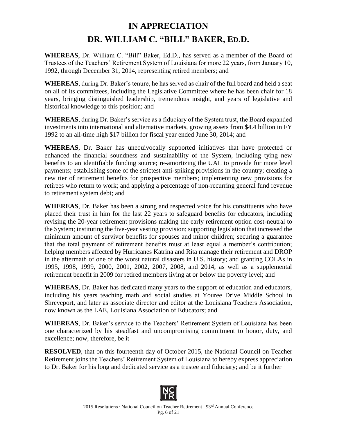# **IN APPRECIATION DR. WILLIAM C. "BILL" BAKER, ED.D.**

**WHEREAS**, Dr. William C. "Bill" Baker, Ed.D., has served as a member of the Board of Trustees of the Teachers' Retirement System of Louisiana for more 22 years, from January 10, 1992, through December 31, 2014, representing retired members; and

**WHEREAS**, during Dr. Baker's tenure, he has served as chair of the full board and held a seat on all of its committees, including the Legislative Committee where he has been chair for 18 years, bringing distinguished leadership, tremendous insight, and years of legislative and historical knowledge to this position; and

**WHEREAS**, during Dr. Baker's service as a fiduciary of the System trust, the Board expanded investments into international and alternative markets, growing assets from \$4.4 billion in FY 1992 to an all-time high \$17 billion for fiscal year ended June 30, 2014; and

**WHEREAS**, Dr. Baker has unequivocally supported initiatives that have protected or enhanced the financial soundness and sustainability of the System, including tying new benefits to an identifiable funding source; re-amortizing the UAL to provide for more level payments; establishing some of the strictest anti-spiking provisions in the country; creating a new tier of retirement benefits for prospective members; implementing new provisions for retirees who return to work; and applying a percentage of non-recurring general fund revenue to retirement system debt; and

**WHEREAS**, Dr. Baker has been a strong and respected voice for his constituents who have placed their trust in him for the last 22 years to safeguard benefits for educators, including revising the 20-year retirement provisions making the early retirement option cost-neutral to the System; instituting the five-year vesting provision; supporting legislation that increased the minimum amount of survivor benefits for spouses and minor children; securing a guarantee that the total payment of retirement benefits must at least equal a member's contribution; helping members affected by Hurricanes Katrina and Rita manage their retirement and DROP in the aftermath of one of the worst natural disasters in U.S. history; and granting COLAs in 1995, 1998, 1999, 2000, 2001, 2002, 2007, 2008, and 2014, as well as a supplemental retirement benefit in 2009 for retired members living at or below the poverty level; and

**WHEREAS**, Dr. Baker has dedicated many years to the support of education and educators, including his years teaching math and social studies at Youree Drive Middle School in Shreveport, and later as associate director and editor at the Louisiana Teachers Association, now known as the LAE, Louisiana Association of Educators; and

**WHEREAS**, Dr. Baker's service to the Teachers' Retirement System of Louisiana has been one characterized by his steadfast and uncompromising commitment to honor, duty, and excellence; now, therefore, be it

**RESOLVED**, that on this fourteenth day of October 2015, the National Council on Teacher Retirement joins the Teachers' Retirement System of Louisiana to hereby express appreciation to Dr. Baker for his long and dedicated service as a trustee and fiduciary; and be it further

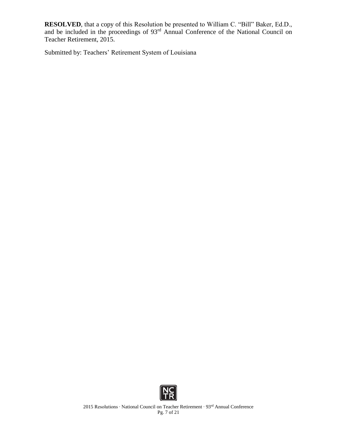**RESOLVED**, that a copy of this Resolution be presented to William C. "Bill" Baker, Ed.D., and be included in the proceedings of 93<sup>rd</sup> Annual Conference of the National Council on Teacher Retirement, 2015.

Submitted by: Teachers' Retirement System of Louisiana

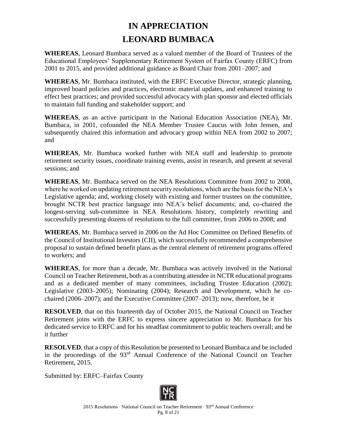## **IN APPRECIATION LEONARD BUMBACA**

**WHEREAS**, Leonard Bumbaca served as a valued member of the Board of Trustees of the Educational Employees' Supplementary Retirement System of Fairfax County (ERFC) from 2001 to 2015, and provided additional guidance as Board Chair from 2001–2007; and

**WHEREAS**, Mr. Bumbaca instituted, with the ERFC Executive Director, strategic planning, improved board policies and practices, electronic material updates, and enhanced training to effect best practices; and provided successful advocacy with plan sponsor and elected officials to maintain full funding and stakeholder support; and

**WHEREAS**, as an active participant in the National Education Association (NEA), Mr. Bumbaca, in 2001, cofounded the NEA Member Trustee Caucus with John Jensen, and subsequently chaired this information and advocacy group within NEA from 2002 to 2007; and

**WHEREAS**, Mr. Bumbaca worked further with NEA staff and leadership to promote retirement security issues, coordinate training events, assist in research, and present at several sessions; and

**WHEREAS**, Mr. Bumbaca served on the NEA Resolutions Committee from 2002 to 2008, where he worked on updating retirement security resolutions, which are the basis for the NEA's Legislative agenda; and, working closely with existing and former trustees on the committee, brought NCTR best practice language into NEA's belief documents; and, co-chaired the longest-serving sub-committee in NEA Resolutions history, completely rewriting and successfully presenting dozens of resolutions to the full committee, from 2006 to 2008; and

**WHEREAS**, Mr. Bumbaca served in 2006 on the Ad Hoc Committee on Defined Benefits of the Council of Institutional Investors (CII), which successfully recommended a comprehensive proposal to sustain defined benefit plans as the central element of retirement programs offered to workers; and

**WHEREAS**, for more than a decade, Mr. Bumbaca was actively involved in the National Council on Teacher Retirement, both as a contributing attendee in NCTR educational programs and as a dedicated member of many committees, including Trustee Education (2002); Legislative (2003–2005); Nominating (2004); Research and Development, which he cochaired (2006–2007); and the Executive Committee (2007–2013); now, therefore, be it

**RESOLVED**, that on this fourteenth day of October 2015, the National Council on Teacher Retirement joins with the ERFC to express sincere appreciation to Mr. Bumbaca for his dedicated service to ERFC and for his steadfast commitment to public teachers overall; and be it further

**RESOLVED**, that a copy of this Resolution be presented to Leonard Bumbaca and be included in the proceedings of the 93rd Annual Conference of the National Council on Teacher Retirement, 2015.

Submitted by: ERFC–Fairfax County

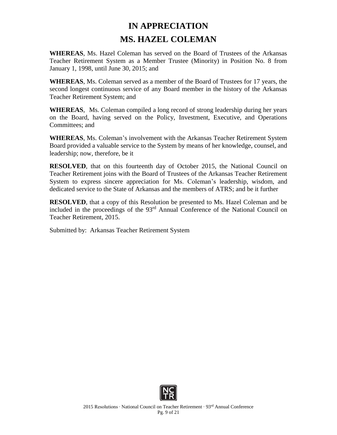### **IN APPRECIATION MS. HAZEL COLEMAN**

**WHEREAS**, Ms. Hazel Coleman has served on the Board of Trustees of the Arkansas Teacher Retirement System as a Member Trustee (Minority) in Position No. 8 from January 1, 1998, until June 30, 2015; and

**WHEREAS**, Ms. Coleman served as a member of the Board of Trustees for 17 years, the second longest continuous service of any Board member in the history of the Arkansas Teacher Retirement System; and

**WHEREAS**, Ms. Coleman compiled a long record of strong leadership during her years on the Board, having served on the Policy, Investment, Executive, and Operations Committees; and

**WHEREAS**, Ms. Coleman's involvement with the Arkansas Teacher Retirement System Board provided a valuable service to the System by means of her knowledge, counsel, and leadership; now, therefore, be it

**RESOLVED**, that on this fourteenth day of October 2015, the National Council on Teacher Retirement joins with the Board of Trustees of the Arkansas Teacher Retirement System to express sincere appreciation for Ms. Coleman's leadership, wisdom, and dedicated service to the State of Arkansas and the members of ATRS; and be it further

**RESOLVED**, that a copy of this Resolution be presented to Ms. Hazel Coleman and be included in the proceedings of the 93rd Annual Conference of the National Council on Teacher Retirement, 2015.

Submitted by: Arkansas Teacher Retirement System

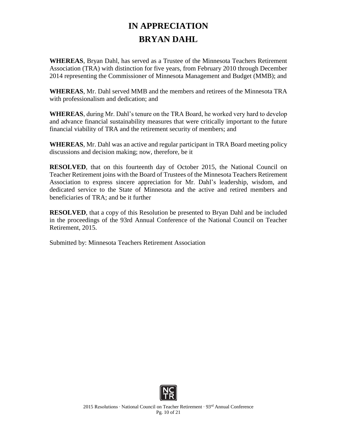# **IN APPRECIATION BRYAN DAHL**

**WHEREAS**, Bryan Dahl, has served as a Trustee of the Minnesota Teachers Retirement Association (TRA) with distinction for five years, from February 2010 through December 2014 representing the Commissioner of Minnesota Management and Budget (MMB); and

**WHEREAS**, Mr. Dahl served MMB and the members and retirees of the Minnesota TRA with professionalism and dedication; and

**WHEREAS**, during Mr. Dahl's tenure on the TRA Board, he worked very hard to develop and advance financial sustainability measures that were critically important to the future financial viability of TRA and the retirement security of members; and

**WHEREAS**, Mr. Dahl was an active and regular participant in TRA Board meeting policy discussions and decision making; now, therefore, be it

**RESOLVED**, that on this fourteenth day of October 2015, the National Council on Teacher Retirement joins with the Board of Trustees of the Minnesota Teachers Retirement Association to express sincere appreciation for Mr. Dahl's leadership, wisdom, and dedicated service to the State of Minnesota and the active and retired members and beneficiaries of TRA; and be it further

**RESOLVED**, that a copy of this Resolution be presented to Bryan Dahl and be included in the proceedings of the 93rd Annual Conference of the National Council on Teacher Retirement, 2015.

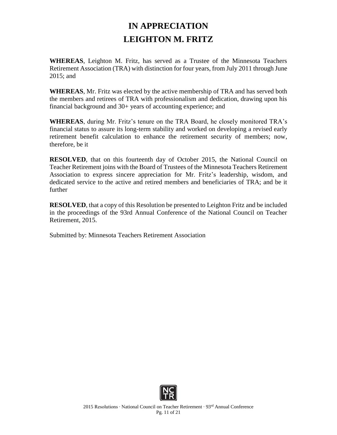### **IN APPRECIATION LEIGHTON M. FRITZ**

**WHEREAS**, Leighton M. Fritz, has served as a Trustee of the Minnesota Teachers Retirement Association (TRA) with distinction for four years, from July 2011 through June 2015; and

**WHEREAS**, Mr. Fritz was elected by the active membership of TRA and has served both the members and retirees of TRA with professionalism and dedication, drawing upon his financial background and 30+ years of accounting experience; and

**WHEREAS**, during Mr. Fritz's tenure on the TRA Board, he closely monitored TRA's financial status to assure its long-term stability and worked on developing a revised early retirement benefit calculation to enhance the retirement security of members; now, therefore, be it

**RESOLVED**, that on this fourteenth day of October 2015, the National Council on Teacher Retirement joins with the Board of Trustees of the Minnesota Teachers Retirement Association to express sincere appreciation for Mr. Fritz's leadership, wisdom, and dedicated service to the active and retired members and beneficiaries of TRA; and be it further

**RESOLVED**, that a copy of this Resolution be presented to Leighton Fritz and be included in the proceedings of the 93rd Annual Conference of the National Council on Teacher Retirement, 2015.

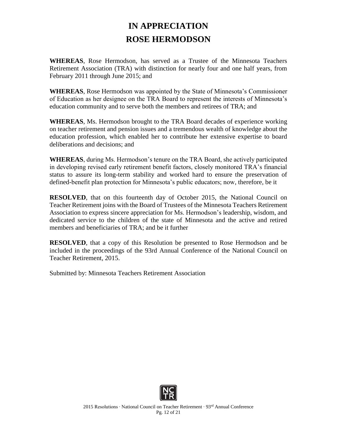### **IN APPRECIATION ROSE HERMODSON**

**WHEREAS**, Rose Hermodson, has served as a Trustee of the Minnesota Teachers Retirement Association (TRA) with distinction for nearly four and one half years, from February 2011 through June 2015; and

**WHEREAS**, Rose Hermodson was appointed by the State of Minnesota's Commissioner of Education as her designee on the TRA Board to represent the interests of Minnesota's education community and to serve both the members and retirees of TRA; and

**WHEREAS**, Ms. Hermodson brought to the TRA Board decades of experience working on teacher retirement and pension issues and a tremendous wealth of knowledge about the education profession, which enabled her to contribute her extensive expertise to board deliberations and decisions; and

**WHEREAS**, during Ms. Hermodson's tenure on the TRA Board, she actively participated in developing revised early retirement benefit factors, closely monitored TRA's financial status to assure its long-term stability and worked hard to ensure the preservation of defined-benefit plan protection for Minnesota's public educators; now, therefore, be it

**RESOLVED**, that on this fourteenth day of October 2015, the National Council on Teacher Retirement joins with the Board of Trustees of the Minnesota Teachers Retirement Association to express sincere appreciation for Ms. Hermodson's leadership, wisdom, and dedicated service to the children of the state of Minnesota and the active and retired members and beneficiaries of TRA; and be it further

**RESOLVED**, that a copy of this Resolution be presented to Rose Hermodson and be included in the proceedings of the 93rd Annual Conference of the National Council on Teacher Retirement, 2015.

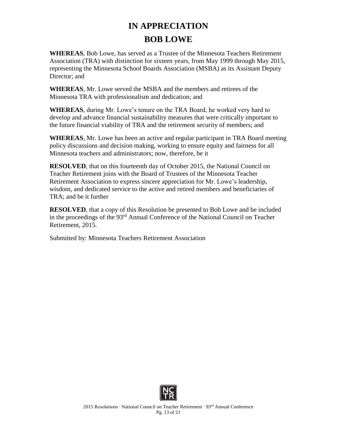# **IN APPRECIATION BOB LOWE**

**WHEREAS**, Bob Lowe, has served as a Trustee of the Minnesota Teachers Retirement Association (TRA) with distinction for sixteen years, from May 1999 through May 2015, representing the Minnesota School Boards Association (MSBA) as its Assistant Deputy Director; and

**WHEREAS**, Mr. Lowe served the MSBA and the members and retirees of the Minnesota TRA with professionalism and dedication; and

**WHEREAS**, during Mr. Lowe's tenure on the TRA Board, he worked very hard to develop and advance financial sustainability measures that were critically important to the future financial viability of TRA and the retirement security of members; and

**WHEREAS**, Mr. Lowe has been an active and regular participant in TRA Board meeting policy discussions and decision making, working to ensure equity and fairness for all Minnesota teachers and administrators; now, therefore, be it

**RESOLVED**, that on this fourteenth day of October 2015, the National Council on Teacher Retirement joins with the Board of Trustees of the Minnesota Teacher Retirement Association to express sincere appreciation for Mr. Lowe's leadership, wisdom, and dedicated service to the active and retired members and beneficiaries of TRA; and be it further

**RESOLVED**, that a copy of this Resolution be presented to Bob Lowe and be included in the proceedings of the 93rd Annual Conference of the National Council on Teacher Retirement, 2015.

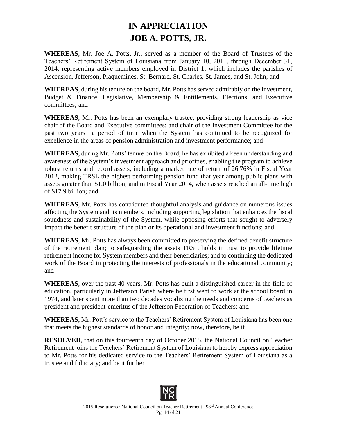#### **IN APPRECIATION JOE A. POTTS, JR.**

**WHEREAS**, Mr. Joe A. Potts, Jr., served as a member of the Board of Trustees of the Teachers' Retirement System of Louisiana from January 10, 2011, through December 31, 2014, representing active members employed in District 1, which includes the parishes of Ascension, Jefferson, Plaquemines, St. Bernard, St. Charles, St. James, and St. John; and

**WHEREAS**, during his tenure on the board, Mr. Potts has served admirably on the Investment, Budget & Finance, Legislative, Membership & Entitlements, Elections, and Executive committees; and

**WHEREAS**, Mr. Potts has been an exemplary trustee, providing strong leadership as vice chair of the Board and Executive committees; and chair of the Investment Committee for the past two years—a period of time when the System has continued to be recognized for excellence in the areas of pension administration and investment performance; and

**WHEREAS**, during Mr. Potts' tenure on the Board, he has exhibited a keen understanding and awareness of the System's investment approach and priorities, enabling the program to achieve robust returns and record assets, including a market rate of return of 26.76% in Fiscal Year 2012, making TRSL the highest performing pension fund that year among public plans with assets greater than \$1.0 billion; and in Fiscal Year 2014, when assets reached an all-time high of \$17.9 billion; and

**WHEREAS**, Mr. Potts has contributed thoughtful analysis and guidance on numerous issues affecting the System and its members, including supporting legislation that enhances the fiscal soundness and sustainability of the System, while opposing efforts that sought to adversely impact the benefit structure of the plan or its operational and investment functions; and

**WHEREAS**, Mr. Potts has always been committed to preserving the defined benefit structure of the retirement plan; to safeguarding the assets TRSL holds in trust to provide lifetime retirement income for System members and their beneficiaries; and to continuing the dedicated work of the Board in protecting the interests of professionals in the educational community; and

**WHEREAS**, over the past 40 years, Mr. Potts has built a distinguished career in the field of education, particularly in Jefferson Parish where he first went to work at the school board in 1974, and later spent more than two decades vocalizing the needs and concerns of teachers as president and president-emeritus of the Jefferson Federation of Teachers; and

**WHEREAS**, Mr. Pott's service to the Teachers' Retirement System of Louisiana has been one that meets the highest standards of honor and integrity; now, therefore, be it

**RESOLVED**, that on this fourteenth day of October 2015, the National Council on Teacher Retirement joins the Teachers' Retirement System of Louisiana to hereby express appreciation to Mr. Potts for his dedicated service to the Teachers' Retirement System of Louisiana as a trustee and fiduciary; and be it further

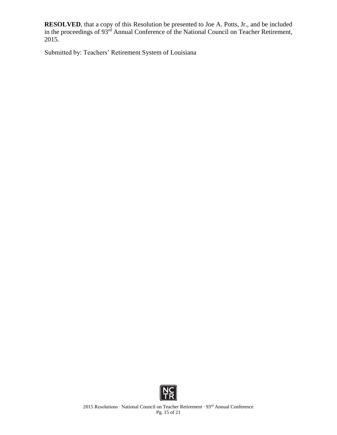**RESOLVED**, that a copy of this Resolution be presented to Joe A. Potts, Jr., and be included in the proceedings of 93<sup>rd</sup> Annual Conference of the National Council on Teacher Retirement, 2015.

Submitted by: Teachers' Retirement System of Louisiana

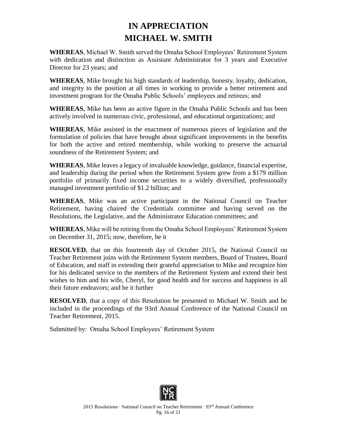#### **IN APPRECIATION MICHAEL W. SMITH**

**WHEREAS**, Michael W. Smith served the Omaha School Employees' Retirement System with dedication and distinction as Assistant Administrator for 3 years and Executive Director for 23 years; and

**WHEREAS**, Mike brought his high standards of leadership, honesty, loyalty, dedication, and integrity to the position at all times in working to provide a better retirement and investment program for the Omaha Public Schools' employees and retirees; and

**WHEREAS**, Mike has been an active figure in the Omaha Public Schools and has been actively involved in numerous civic, professional, and educational organizations; and

**WHEREAS**, Mike assisted in the enactment of numerous pieces of legislation and the formulation of policies that have brought about significant improvements in the benefits for both the active and retired membership, while working to preserve the actuarial soundness of the Retirement System; and

**WHEREAS**, Mike leaves a legacy of invaluable knowledge, guidance, financial expertise, and leadership during the period when the Retirement System grew from a \$179 million portfolio of primarily fixed income securities to a widely diversified, professionally managed investment portfolio of \$1.2 billion; and

**WHEREAS**, Mike was an active participant in the National Council on Teacher Retirement, having chaired the Credentials committee and having served on the Resolutions, the Legislative, and the Administrator Education committees; and

**WHEREAS**, Mike will be retiring from the Omaha School Employees' Retirement System on December 31, 2015; now, therefore, be it

**RESOLVED**, that on this fourteenth day of October 2015, the National Council on Teacher Retirement joins with the Retirement System members, Board of Trustees, Board of Education, and staff in extending their grateful appreciation to Mike and recognize him for his dedicated service to the members of the Retirement System and extend their best wishes to him and his wife, Cheryl, for good health and for success and happiness in all their future endeavors; and be it further

**RESOLVED**, that a copy of this Resolution be presented to Michael W. Smith and be included in the proceedings of the 93rd Annual Conference of the National Council on Teacher Retirement, 2015.

Submitted by: Omaha School Employees' Retirement System

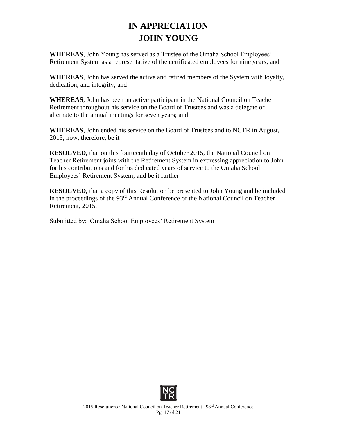### **IN APPRECIATION JOHN YOUNG**

**WHEREAS**, John Young has served as a Trustee of the Omaha School Employees' Retirement System as a representative of the certificated employees for nine years; and

**WHEREAS**, John has served the active and retired members of the System with loyalty, dedication, and integrity; and

**WHEREAS**, John has been an active participant in the National Council on Teacher Retirement throughout his service on the Board of Trustees and was a delegate or alternate to the annual meetings for seven years; and

**WHEREAS**, John ended his service on the Board of Trustees and to NCTR in August, 2015; now, therefore, be it

**RESOLVED**, that on this fourteenth day of October 2015, the National Council on Teacher Retirement joins with the Retirement System in expressing appreciation to John for his contributions and for his dedicated years of service to the Omaha School Employees' Retirement System; and be it further

**RESOLVED**, that a copy of this Resolution be presented to John Young and be included in the proceedings of the 93rd Annual Conference of the National Council on Teacher Retirement, 2015.

Submitted by: Omaha School Employees' Retirement System

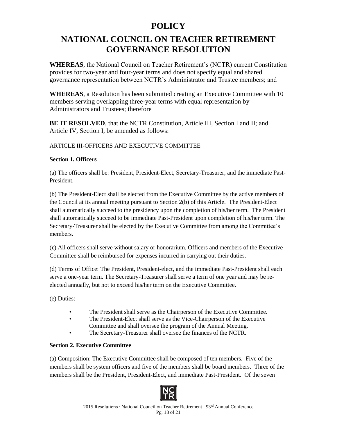#### **POLICY**

#### **NATIONAL COUNCIL ON TEACHER RETIREMENT GOVERNANCE RESOLUTION**

**WHEREAS**, the National Council on Teacher Retirement's (NCTR) current Constitution provides for two-year and four-year terms and does not specify equal and shared governance representation between NCTR's Administrator and Trustee members; and

**WHEREAS**, a Resolution has been submitted creating an Executive Committee with 10 members serving overlapping three-year terms with equal representation by Administrators and Trustees; therefore

**BE IT RESOLVED**, that the NCTR Constitution, Article III, Section I and II; and Article IV, Section I, be amended as follows:

#### ARTICLE III-OFFICERS AND EXECUTIVE COMMITTEE

#### **Section 1. Officers**

(a) The officers shall be: President, President-Elect, Secretary-Treasurer, and the immediate Past-President.

(b) The President-Elect shall be elected from the Executive Committee by the active members of the Council at its annual meeting pursuant to Section 2(b) of this Article. The President-Elect shall automatically succeed to the presidency upon the completion of his/her term. The President shall automatically succeed to be immediate Past-President upon completion of his/her term. The Secretary-Treasurer shall be elected by the Executive Committee from among the Committee's members.

(**c**) All officers shall serve without salary or honorarium. Officers and members of the Executive Committee shall be reimbursed for expenses incurred in carrying out their duties.

(d) Terms of Office: The President, President-elect, and the immediate Past-President shall each serve a one-year term. The Secretary-Treasurer shall serve a term of one year and may be reelected annually, but not to exceed his/her term on the Executive Committee.

(e) Duties:

- The President shall serve as the Chairperson of the Executive Committee.
- The President-Elect shall serve as the Vice-Chairperson of the Executive
- Committee and shall oversee the program of the Annual Meeting.
- The Secretary-Treasurer shall oversee the finances of the NCTR.

#### **Section 2. Executive Committee**

(a) Composition: The Executive Committee shall be composed of ten members. Five of the members shall be system officers and five of the members shall be board members. Three of the members shall be the President, President-Elect, and immediate Past-President. Of the seven

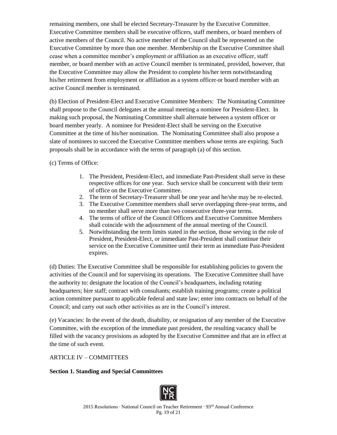remaining members, one shall be elected Secretary-Treasurer by the Executive Committee. Executive Committee members shall be executive officers, staff members, or board members of active members of the Council. No active member of the Council shall be represented on the Executive Committee by more than one member. Membership on the Executive Committee shall cease when a committee member's employment or affiliation as an executive officer, staff member, or board member with an active Council member is terminated, provided, however, that the Executive Committee may allow the President to complete his/her term notwithstanding his/her retirement from employment or affiliation as a system officer or board member with an active Council member is terminated.

(b) Election of President-Elect and Executive Committee Members: The Nominating Committee shall propose to the Council delegates at the annual meeting a nominee for President-Elect. In making such proposal, the Nominating Committee shall alternate between a system officer or board member yearly. A nominee for President-Elect shall be serving on the Executive Committee at the time of his/her nomination. The Nominating Committee shall also propose a slate of nominees to succeed the Executive Committee members whose terms are expiring. Such proposals shall be in accordance with the terms of paragraph (a) of this section.

(c) Terms of Office:

- 1. The President, President-Elect, and immediate Past-President shall serve in these respective offices for one year. Such service shall be concurrent with their term of office on the Executive Committee.
- 2. The term of Secretary-Treasurer shall be one year and he/she may be re-elected.
- 3. The Executive Committee members shall serve overlapping three-year terms, and no member shall serve more than two consecutive three-year terms.
- 4. The terms of office of the Council Officers and Executive Committee Members shall coincide with the adjournment of the annual meeting of the Council.
- 5. Notwithstanding the term limits stated in the section, those serving in the role of President, President-Elect, or immediate Past-President shall continue their service on the Executive Committee until their term as immediate Past-President expires.

(d) Duties: The Executive Committee shall be responsible for establishing policies to govern the activities of the Council and for supervising its operations. The Executive Committee shall have the authority to: designate the location of the Council's headquarters, including rotating headquarters; hire staff; contract with consultants; establish training programs; create a political action committee pursuant to applicable federal and state law; enter into contracts on behalf of the Council; and carry out such other activities as are in the Council's interest.

(e) Vacancies: In the event of the death, disability, or resignation of any member of the Executive Committee, with the exception of the immediate past president, the resulting vacancy shall be filled with the vacancy provisions as adopted by the Executive Committee and that are in effect at the time of such event.

ARTICLE IV – COMMITTEES

**Section 1. Standing and Special Committees**

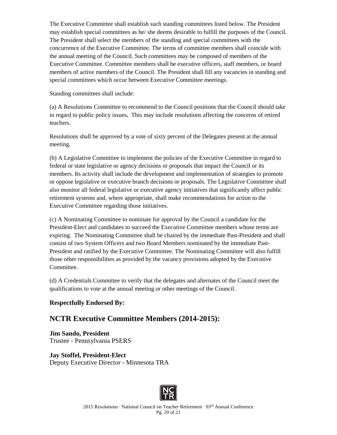The Executive Committee shall establish such standing committees listed below. The President may establish special committees as he/ she deems desirable to fulfill the purposes of the Council. The President shall select the members of the standing and special committees with the concurrence of the Executive Committee. The terms of committee members shall coincide with the annual meeting of the Council. Such committees may be composed of members of the Executive Committee. Committee members shall be executive officers, staff members, or board members of active members of the Council. The President shall fill any vacancies in standing and special committees which occur between Executive Committee meetings.

Standing committees shall include:

(a) A Resolutions Committee to recommend to the Council positions that the Council should take in regard to public policy issues**.** This may include resolutions affecting the concerns of retired teachers.

Resolutions shall be approved by a vote of sixty percent of the Delegates present at the annual meeting.

(b) A Legislative Committee to implement the policies of the Executive Committee in regard to federal or state legislative or agency decisions or proposals that impact the Council or its members. Its activity shall include the development and implementation of strategies to promote or oppose legislative or executive branch decisions or proposals. The Legislative Committee shall also monitor all federal legislative or executive agency initiatives that significantly affect public retirement systems and, where appropriate, shall make recommendations for action to the Executive Committee regarding those initiatives.

(c) A Nominating Committee to nominate for approval by the Council a candidate for the President-Elect and candidates to succeed the Executive Committee members whose terms are expiring. The Nominating Committee shall be chaired by the immediate Past-President and shall consist of two System Officers and two Board Members nominated by the immediate Past-President and ratified by the Executive Committee. The Nominating Committee will also fulfill those other responsibilities as provided by the vacancy provisions adopted by the Executive Committee.

(d) A Credentials Committee to verify that the delegates and alternates of the Council meet the qualifications to vote at the annual meeting or other meetings of the Council.

#### **Respectfully Endorsed By:**

#### **NCTR Executive Committee Members (2014-2015):**

**Jim Sando, President** Trustee - Pennsylvania PSERS

**Jay Stoffel, President-Elect** Deputy Executive Director - Minnesota TRA